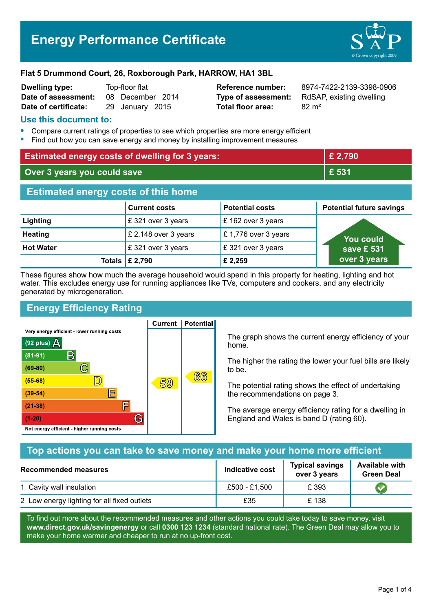# **Energy Performance Certificate**



#### **Flat 5 Drummond Court, 26, Roxborough Park, HARROW, HA1 3BL**

| <b>Dwelling type:</b> | Top-floor flat   |                 |  |
|-----------------------|------------------|-----------------|--|
| Date of assessment:   | 08 December 2014 |                 |  |
| Date of certificate:  |                  | 29 January 2015 |  |

**Total floor area:** 82 m<sup>2</sup>

**Reference number:** 8974-7422-2139-3398-0906 **Type of assessment:** RdSAP, existing dwelling

### **Use this document to:**

- **•** Compare current ratings of properties to see which properties are more energy efficient
- **•** Find out how you can save energy and money by installing improvement measures

| <b>Estimated energy costs of dwelling for 3 years:</b> |                      |                        | £ 2,790                         |  |
|--------------------------------------------------------|----------------------|------------------------|---------------------------------|--|
| Over 3 years you could save                            |                      | £ 531                  |                                 |  |
| <b>Estimated energy costs of this home</b>             |                      |                        |                                 |  |
|                                                        | <b>Current costs</b> | <b>Potential costs</b> | <b>Potential future savings</b> |  |
| Lighting                                               | £321 over 3 years    | £162 over 3 years      |                                 |  |
| <b>Heating</b>                                         | £ 2,148 over 3 years | £1,776 over 3 years    | <b>You could</b>                |  |
| <b>Hot Water</b>                                       | £321 over 3 years    | £321 over 3 years      | save £ 531                      |  |
| <b>Totals</b>                                          | £ 2,790              | £ 2,259                | over 3 years                    |  |

These figures show how much the average household would spend in this property for heating, lighting and hot water. This excludes energy use for running appliances like TVs, computers and cookers, and any electricity generated by microgeneration.

**Current | Potential** 

# **Energy Efficiency Rating**

Very energy efficient - lower running costs



The graph shows the current energy efficiency of your home.

The higher the rating the lower your fuel bills are likely to be.

The potential rating shows the effect of undertaking the recommendations on page 3.

The average energy efficiency rating for a dwelling in England and Wales is band D (rating 60).

# **Top actions you can take to save money and make your home more efficient**

| Recommended measures                        | Indicative cost | <b>Typical savings</b><br>over 3 years | <b>Available with</b><br><b>Green Deal</b> |  |
|---------------------------------------------|-----------------|----------------------------------------|--------------------------------------------|--|
| 1 Cavity wall insulation                    | £500 - £1,500   | £ 393                                  |                                            |  |
| 2 Low energy lighting for all fixed outlets | £35             | £138                                   |                                            |  |

To find out more about the recommended measures and other actions you could take today to save money, visit **www.direct.gov.uk/savingenergy** or call **0300 123 1234** (standard national rate). The Green Deal may allow you to make your home warmer and cheaper to run at no up-front cost.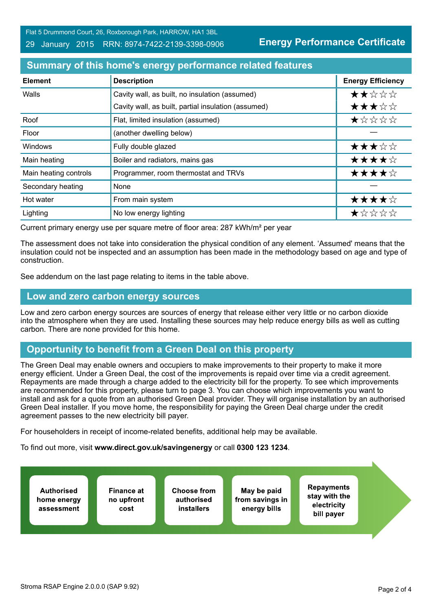Flat 5 Drummond Court, 26, Roxborough Park, HARROW, HA1 3BL

#### 29 January 2015 RRN: 8974-7422-2139-3398-0906

**Energy Performance Certificate**

# **Summary of this home's energy performance related features**

| <b>Element</b>        | <b>Description</b>                                  | <b>Energy Efficiency</b> |
|-----------------------|-----------------------------------------------------|--------------------------|
| Walls                 | Cavity wall, as built, no insulation (assumed)      | ★★☆☆☆                    |
|                       | Cavity wall, as built, partial insulation (assumed) | ★★★☆☆                    |
| Roof                  | Flat, limited insulation (assumed)                  | *****                    |
| Floor                 | (another dwelling below)                            |                          |
| Windows               | Fully double glazed                                 | ★★★☆☆                    |
| Main heating          | Boiler and radiators, mains gas                     | ★★★★☆                    |
| Main heating controls | Programmer, room thermostat and TRVs                | ★★★★☆                    |
| Secondary heating     | None                                                |                          |
| Hot water             | From main system                                    | ★★★★☆                    |
| Lighting              | No low energy lighting                              | *****                    |

Current primary energy use per square metre of floor area: 287 kWh/m² per year

The assessment does not take into consideration the physical condition of any element. 'Assumed' means that the insulation could not be inspected and an assumption has been made in the methodology based on age and type of construction.

See addendum on the last page relating to items in the table above.

#### **Low and zero carbon energy sources**

Low and zero carbon energy sources are sources of energy that release either very little or no carbon dioxide into the atmosphere when they are used. Installing these sources may help reduce energy bills as well as cutting carbon. There are none provided for this home.

# **Opportunity to benefit from a Green Deal on this property**

The Green Deal may enable owners and occupiers to make improvements to their property to make it more energy efficient. Under a Green Deal, the cost of the improvements is repaid over time via a credit agreement. Repayments are made through a charge added to the electricity bill for the property. To see which improvements are recommended for this property, please turn to page 3. You can choose which improvements you want to install and ask for a quote from an authorised Green Deal provider. They will organise installation by an authorised Green Deal installer. If you move home, the responsibility for paying the Green Deal charge under the credit agreement passes to the new electricity bill payer.

For householders in receipt of income-related benefits, additional help may be available.

To find out more, visit **www.direct.gov.uk/savingenergy** or call **0300 123 1234**.

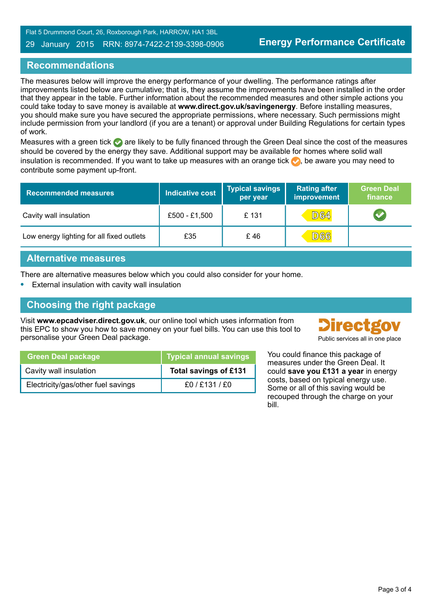Flat 5 Drummond Court, 26, Roxborough Park, HARROW, HA1 3BL

#### 29 January 2015 RRN: 8974-7422-2139-3398-0906

# **Recommendations**

The measures below will improve the energy performance of your dwelling. The performance ratings after improvements listed below are cumulative; that is, they assume the improvements have been installed in the order that they appear in the table. Further information about the recommended measures and other simple actions you could take today to save money is available at **www.direct.gov.uk/savingenergy**. Before installing measures, you should make sure you have secured the appropriate permissions, where necessary. Such permissions might include permission from your landlord (if you are a tenant) or approval under Building Regulations for certain types of work.

Measures with a green tick are likely to be fully financed through the Green Deal since the cost of the measures should be covered by the energy they save. Additional support may be available for homes where solid wall insulation is recommended. If you want to take up measures with an orange tick  $\bullet$ , be aware you may need to contribute some payment up-front.

| <b>Recommended measures</b>               | Indicative cost | <b>Typical savings</b><br>per year | <b>Rating after</b><br>improvement | <b>Green Deal</b><br>finance |
|-------------------------------------------|-----------------|------------------------------------|------------------------------------|------------------------------|
| Cavity wall insulation                    | £500 - £1,500   | £131                               | <b>D64</b>                         |                              |
| Low energy lighting for all fixed outlets | £35             | £46                                | <b>D66</b>                         |                              |

### **Alternative measures**

There are alternative measures below which you could also consider for your home.

**•** External insulation with cavity wall insulation

### **Choosing the right package**

Visit **www.epcadviser.direct.gov.uk**, our online tool which uses information from this EPC to show you how to save money on your fuel bills. You can use this tool to personalise your Green Deal package. Public services all in one place

|  | <b>Directgov</b> |
|--|------------------|
|  |                  |

| <b>Green Deal package</b>          | <b>Typical annual savings</b> |
|------------------------------------|-------------------------------|
| Cavity wall insulation             | Total savings of £131         |
| Electricity/gas/other fuel savings | £0 / £131 / £0                |

You could finance this package of measures under the Green Deal. It could **save you £131 a year** in energy costs, based on typical energy use. Some or all of this saving would be recouped through the charge on your bill.